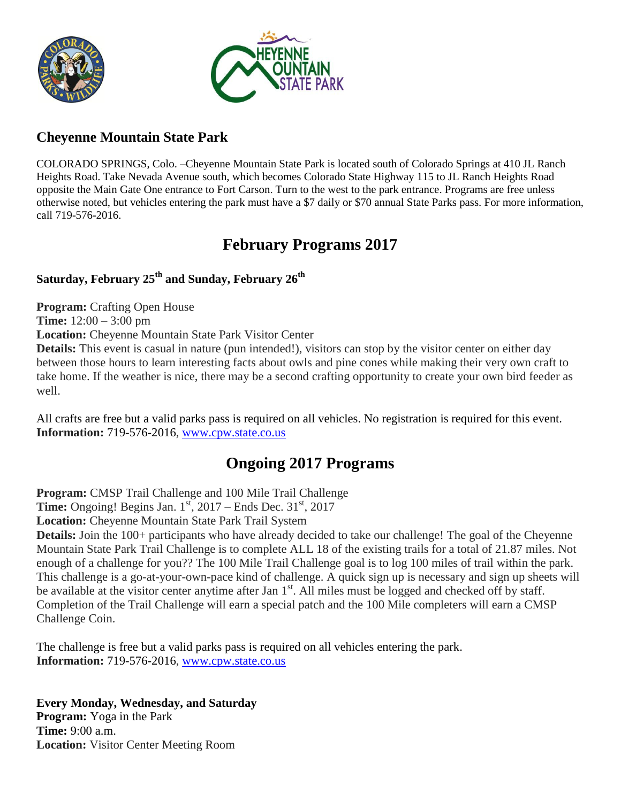



### **Cheyenne Mountain State Park**

COLORADO SPRINGS, Colo. –Cheyenne Mountain State Park is located south of Colorado Springs at 410 JL Ranch Heights Road. Take Nevada Avenue south, which becomes Colorado State Highway 115 to JL Ranch Heights Road opposite the Main Gate One entrance to Fort Carson. Turn to the west to the park entrance. Programs are free unless otherwise noted, but vehicles entering the park must have a \$7 daily or \$70 annual State Parks pass. For more information, call 719-576-2016.

# **February Programs 2017**

### **Saturday, February 25th and Sunday, February 26th**

**Program:** Crafting Open House

**Time:** 12:00 – 3:00 pm

**Location:** Cheyenne Mountain State Park Visitor Center

**Details:** This event is casual in nature (pun intended!), visitors can stop by the visitor center on either day between those hours to learn interesting facts about owls and pine cones while making their very own craft to take home. If the weather is nice, there may be a second crafting opportunity to create your own bird feeder as well.

All crafts are free but a valid parks pass is required on all vehicles. No registration is required for this event. **Information:** 719-576-2016, [www.cpw.state.co.us](http://www.cpw.state.co.us/)

### **Ongoing 2017 Programs**

**Program:** CMSP Trail Challenge and 100 Mile Trail Challenge

**Time:** Ongoing! Begins Jan.  $1<sup>st</sup>$ , 2017 – Ends Dec.  $31<sup>st</sup>$ , 2017

**Location:** Cheyenne Mountain State Park Trail System

**Details:** Join the 100+ participants who have already decided to take our challenge! The goal of the Cheyenne Mountain State Park Trail Challenge is to complete ALL 18 of the existing trails for a total of 21.87 miles. Not enough of a challenge for you?? The 100 Mile Trail Challenge goal is to log 100 miles of trail within the park. This challenge is a go-at-your-own-pace kind of challenge. A quick sign up is necessary and sign up sheets will be available at the visitor center anytime after Jan  $1<sup>st</sup>$ . All miles must be logged and checked off by staff. Completion of the Trail Challenge will earn a special patch and the 100 Mile completers will earn a CMSP Challenge Coin.

The challenge is free but a valid parks pass is required on all vehicles entering the park. **Information:** 719-576-2016, [www.cpw.state.co.us](http://www.cpw.state.co.us/)

**Every Monday, Wednesday, and Saturday Program:** Yoga in the Park **Time:** 9:00 a.m. **Location:** Visitor Center Meeting Room